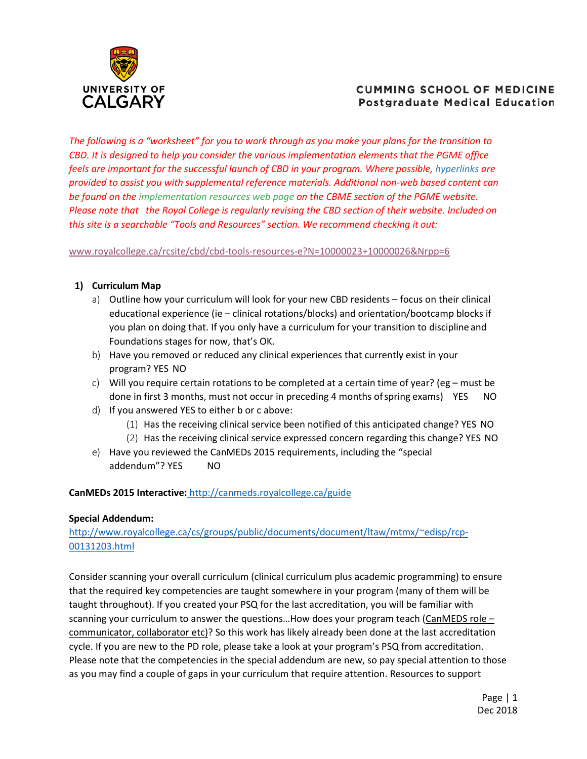

# **CUMMING SCHOOL OF MEDICINE Postgraduate Medical Education**

*The following is a "worksheet" for you to work through as you make your plans for the transition to CBD. It is designed to help you consider the various implementation elements that the PGME office feels are important for the successful launch of CBD in your program. Where possible, hyperlinks are provided to assist you with supplemental reference materials. Additional non-web based content can be found on the implementation resources web page on the CBME section of the PGME website. Please note that the Royal College is regularly revising the CBD section of their website. Included on this site is a searchable "Tools and Resources" section. We recommend checking it out:* 

[www.royalcollege.ca/rcsite/cbd/cbd-tools-resources-e?N=10000023+10000026&Nrpp=6](http://www.royalcollege.ca/rcsite/cbd/cbd-tools-resources-e?N=10000023%2B10000026&Nrpp=6)

## **1) Curriculum Map**

- a) Outline how your curriculum will look for your new CBD residents focus on their clinical educational experience (ie – clinical rotations/blocks) and orientation/bootcamp blocks if you plan on doing that. If you only have a curriculum for your transition to discipline and Foundations stages for now, that's OK.
- b) Have you removed or reduced any clinical experiences that currently exist in your program? YES NO
- c) Will you require certain rotations to be completed at a certain time of year? (eg must be done in first 3 months, must not occur in preceding 4 months ofspring exams) YES NO
- d) If you answered YES to either b or c above:
	- (1) Has the receiving clinical service been notified of this anticipated change? YES NO
	- (2) Has the receiving clinical service expressed concern regarding this change? YES NO
- e) Have you reviewed the CanMEDs 2015 requirements, including the "special addendum"? YES NO

### **CanMEDs 2015 Interactive:** <http://canmeds.royalcollege.ca/guide>

### **Special Addendum:**

[http://www.royalcollege.ca/cs/groups/public/documents/document/ltaw/mtmx/~edisp/rcp-](http://www.royalcollege.ca/cs/groups/public/documents/document/ltaw/mtmx/%7Eedisp/rcp-00131203.html)[00131203.html](http://www.royalcollege.ca/cs/groups/public/documents/document/ltaw/mtmx/%7Eedisp/rcp-00131203.html)

Consider scanning your overall curriculum (clinical curriculum plus academic programming) to ensure that the required key competencies are taught somewhere in your program (many of them will be taught throughout). If you created your PSQ for the last accreditation, you will be familiar with scanning your curriculum to answer the questions…How does your program teach (CanMEDS role – communicator, collaborator etc)? So this work has likely already been done at the last accreditation cycle. If you are new to the PD role, please take a look at your program's PSQ from accreditation. Please note that the competencies in the special addendum are new, so pay special attention to those as you may find a couple of gaps in your curriculum that require attention. Resources to support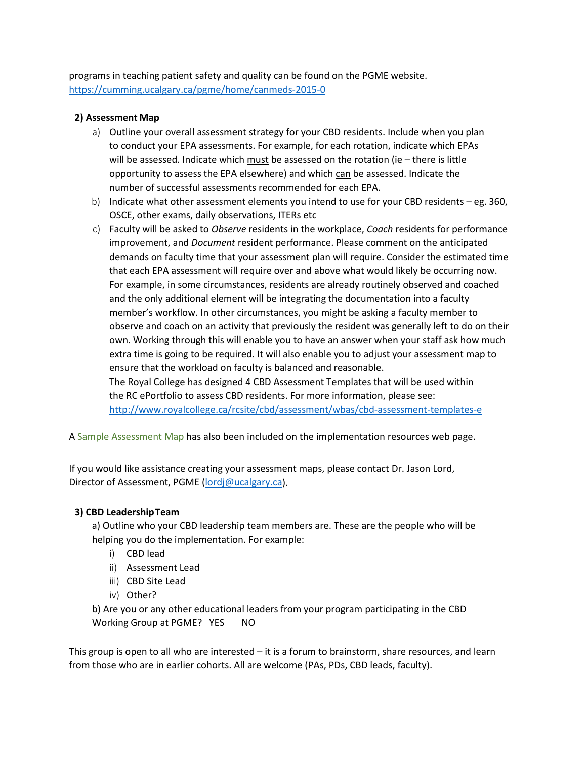programs in teaching patient safety and quality can be found on the PGME website. <https://cumming.ucalgary.ca/pgme/home/canmeds-2015-0>

#### **2) Assessment Map**

- a) Outline your overall assessment strategy for your CBD residents. Include when you plan to conduct your EPA assessments. For example, for each rotation, indicate which EPAs will be assessed. Indicate which must be assessed on the rotation (ie – there is little opportunity to assess the EPA elsewhere) and which can be assessed. Indicate the number of successful assessments recommended for each EPA.
- b) Indicate what other assessment elements you intend to use for your CBD residents eg. 360, OSCE, other exams, daily observations, ITERs etc
- c) Faculty will be asked to *Observe* residents in the workplace, *Coach* residents for performance improvement, and *Document* resident performance. Please comment on the anticipated demands on faculty time that your assessment plan will require. Consider the estimated time that each EPA assessment will require over and above what would likely be occurring now. For example, in some circumstances, residents are already routinely observed and coached and the only additional element will be integrating the documentation into a faculty member's workflow. In other circumstances, you might be asking a faculty member to observe and coach on an activity that previously the resident was generally left to do on their own. Working through this will enable you to have an answer when your staff ask how much extra time is going to be required. It will also enable you to adjust your assessment map to ensure that the workload on faculty is balanced and reasonable. The Royal College has designed 4 CBD Assessment Templates that will be used within the RC ePortfolio to assess CBD residents. For more information, please see:

<http://www.royalcollege.ca/rcsite/cbd/assessment/wbas/cbd-assessment-templates-e>

A Sample Assessment Map has also been included on the implementation resources web page.

If you would like assistance creating your assessment maps, please contact Dr. Jason Lord, Director of Assessment, PGM[E \(lordj@ucalgary.ca\)](mailto:lordj@ucalgary.ca).

### **3) CBD LeadershipTeam**

a) Outline who your CBD leadership team members are. These are the people who will be helping you do the implementation. For example:

- i) CBD lead
- ii) Assessment Lead
- iii) CBD Site Lead
- iv) Other?

b) Are you or any other educational leaders from your program participating in the CBD Working Group at PGME? YES NO

This group is open to all who are interested – it is a forum to brainstorm, share resources, and learn from those who are in earlier cohorts. All are welcome (PAs, PDs, CBD leads, faculty).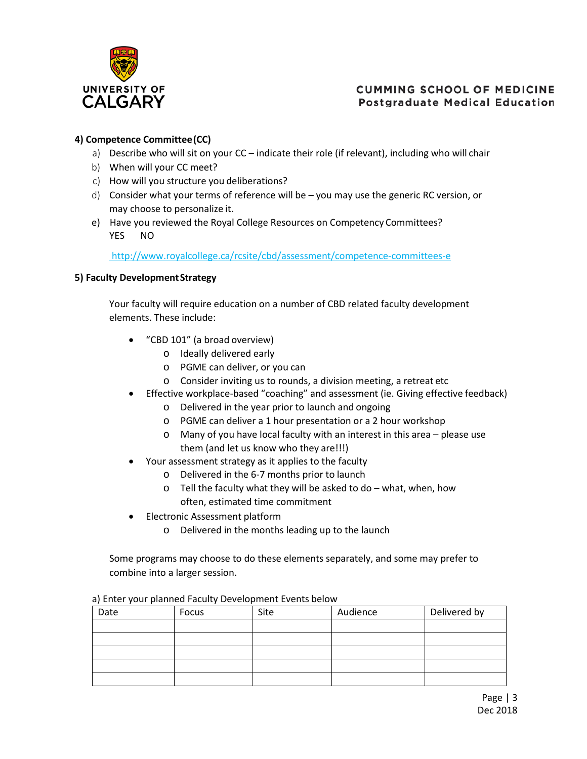

# **CUMMING SCHOOL OF MEDICINE Postgraduate Medical Education**

## **4) Competence Committee(CC)**

- a) Describe who will sit on your CC indicate their role (if relevant), including who will chair
- b) When will your CC meet?
- c) How will you structure you deliberations?
- d) Consider what your terms of reference will be you may use the generic RC version, or may choose to personalize it.
- e) Have you reviewed the Royal College Resources on Competency Committees? YES NO

<http://www.royalcollege.ca/rcsite/cbd/assessment/competence-committees-e>

#### **5) Faculty DevelopmentStrategy**

Your faculty will require education on a number of CBD related faculty development elements. These include:

- "CBD 101" (a broad overview)
	- o Ideally delivered early
	- o PGME can deliver, or you can
	- o Consider inviting us to rounds, a division meeting, a retreat etc
- Effective workplace-based "coaching" and assessment (ie. Giving effective feedback)
	- o Delivered in the year prior to launch and ongoing
	- o PGME can deliver a 1 hour presentation or a 2 hour workshop
	- o Many of you have local faculty with an interest in this area please use them (and let us know who they are!!!)
- Your assessment strategy as it applies to the faculty
	- o Delivered in the 6-7 months prior to launch
	- $\circ$  Tell the faculty what they will be asked to do what, when, how often, estimated time commitment
- Electronic Assessment platform
	- o Delivered in the months leading up to the launch

Some programs may choose to do these elements separately, and some may prefer to combine into a larger session.

| Date | Focus | Site | Audience | Delivered by |
|------|-------|------|----------|--------------|
|      |       |      |          |              |
|      |       |      |          |              |
|      |       |      |          |              |
|      |       |      |          |              |
|      |       |      |          |              |

a) Enter your planned Faculty Development Events below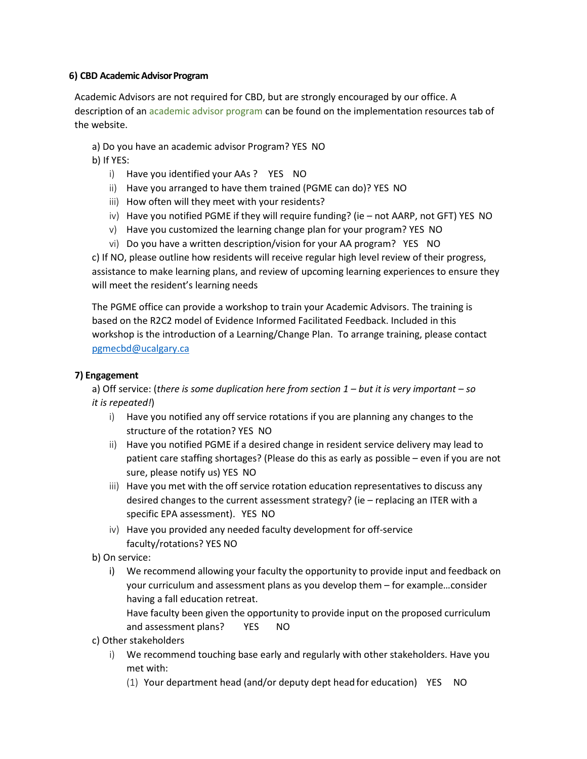#### **6) CBD Academic Advisor Program**

Academic Advisors are not required for CBD, but are strongly encouraged by our office. A description of an academic advisor program can be found on the implementation resources tab of the website.

a) Do you have an academic advisor Program? YES NO

b) If YES:

- i) Have you identified your AAs ? YES NO
- ii) Have you arranged to have them trained (PGME can do)? YES NO
- iii) How often will they meet with your residents?
- iv) Have you notified PGME if they will require funding? (ie not AARP, not GFT) YES NO
- v) Have you customized the learning change plan for your program? YES NO
- vi) Do you have a written description/vision for your AA program? YES NO

c) If NO, please outline how residents will receive regular high level review of their progress, assistance to make learning plans, and review of upcoming learning experiences to ensure they will meet the resident's learning needs

The PGME office can provide a workshop to train your Academic Advisors. The training is based on the R2C2 model of Evidence Informed Facilitated Feedback. Included in this workshop is the introduction of a Learning/Change Plan. To arrange training, please contact [pgmecbd@ucalgary.ca](mailto:pgmecbd@ucalgary.ca)

#### **7) Engagement**

a) Off service: (*there is some duplication here from section 1 – but it is very important – so it is repeated!*)

- i) Have you notified any off service rotations if you are planning any changes to the structure of the rotation? YES NO
- ii) Have you notified PGME if a desired change in resident service delivery may lead to patient care staffing shortages? (Please do this as early as possible – even if you are not sure, please notify us) YES NO
- iii) Have you met with the off service rotation education representatives to discuss any desired changes to the current assessment strategy? (ie – replacing an ITER with a specific EPA assessment). YES NO
- iv) Have you provided any needed faculty development for off-service faculty/rotations? YES NO
- b) On service:
	- i) We recommend allowing your faculty the opportunity to provide input and feedback on your curriculum and assessment plans as you develop them – for example…consider having a fall education retreat.

Have faculty been given the opportunity to provide input on the proposed curriculum and assessment plans? YES NO

- c) Other stakeholders
	- i) We recommend touching base early and regularly with other stakeholders. Have you met with:
		- (1) Your department head (and/or deputy dept head for education) YES NO